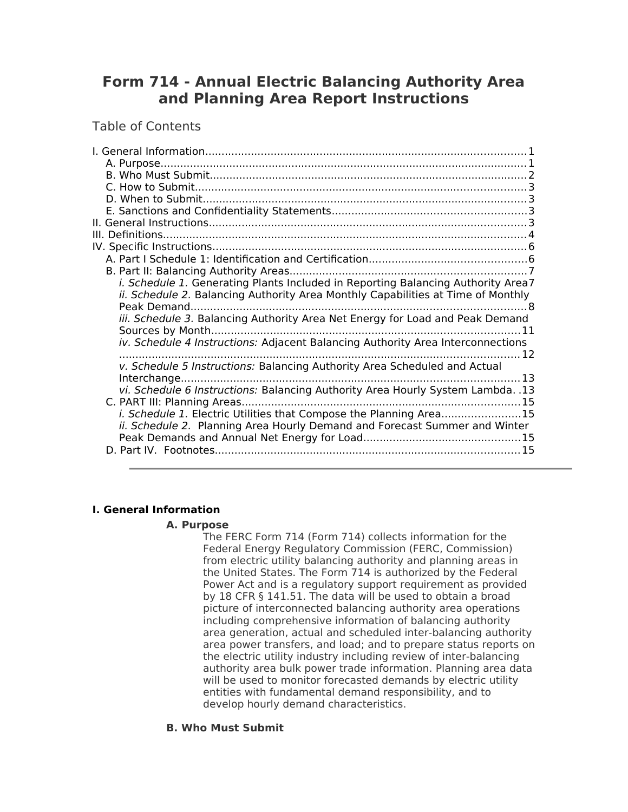# **Form 714 - Annual Electric Balancing Authority Area and Planning Area Report Instructions**

Table of Contents

| <i>i. Schedule 1.</i> Generating Plants Included in Reporting Balancing Authority Area7<br><i>ii. Schedule 2. Balancing Authority Area Monthly Capabilities at Time of Monthly</i> |  |
|------------------------------------------------------------------------------------------------------------------------------------------------------------------------------------|--|
|                                                                                                                                                                                    |  |
| iii. Schedule 3. Balancing Authority Area Net Energy for Load and Peak Demand                                                                                                      |  |
| iv. Schedule 4 Instructions: Adjacent Balancing Authority Area Interconnections                                                                                                    |  |
| v. Schedule 5 Instructions: Balancing Authority Area Scheduled and Actual                                                                                                          |  |
|                                                                                                                                                                                    |  |
| vi. Schedule 6 Instructions: Balancing Authority Area Hourly System Lambda. .13                                                                                                    |  |
| i. Schedule 1. Electric Utilities that Compose the Planning Area15<br>ii. Schedule 2. Planning Area Hourly Demand and Forecast Summer and Winter                                   |  |
|                                                                                                                                                                                    |  |

# <span id="page-0-2"></span>**I. General Information**

### <span id="page-0-1"></span>**A. Purpose**

The FERC Form 714 (Form 714) collects information for the Federal Energy Regulatory Commission (FERC, Commission) from electric utility balancing authority and planning areas in the United States. The Form 714 is authorized by the Federal Power Act and is a regulatory support requirement as provided by 18 CFR § 141.51. The data will be used to obtain a broad picture of interconnected balancing authority area operations including comprehensive information of balancing authority area generation, actual and scheduled inter-balancing authority area power transfers, and load; and to prepare status reports on the electric utility industry including review of inter-balancing authority area bulk power trade information. Planning area data will be used to monitor forecasted demands by electric utility entities with fundamental demand responsibility, and to develop hourly demand characteristics.

### <span id="page-0-0"></span>**B. Who Must Submit**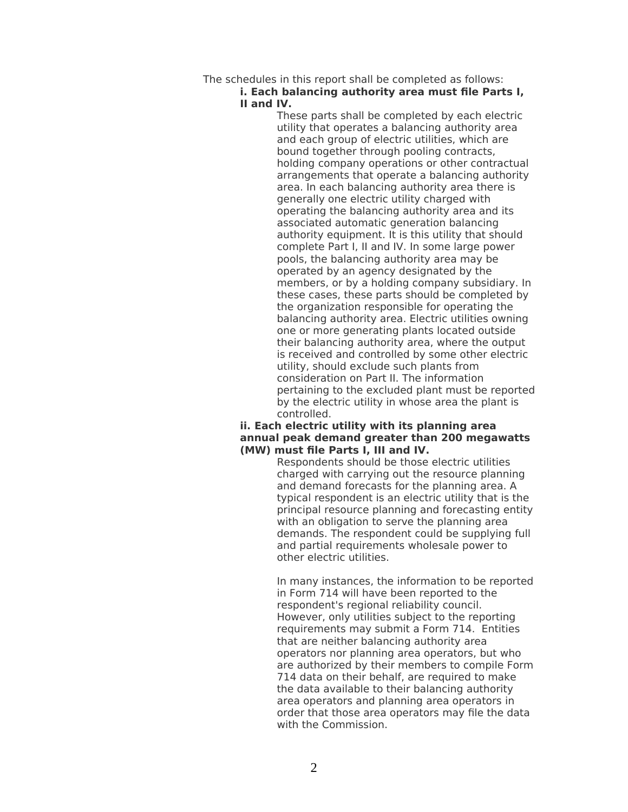# The schedules in this report shall be completed as follows:

### **i. Each balancing authority area must file Parts I, II and IV.**

These parts shall be completed by each electric utility that operates a balancing authority area and each group of electric utilities, which are bound together through pooling contracts, holding company operations or other contractual arrangements that operate a balancing authority area. In each balancing authority area there is generally one electric utility charged with operating the balancing authority area and its associated automatic generation balancing authority equipment. It is this utility that should complete Part I, II and IV. In some large power pools, the balancing authority area may be operated by an agency designated by the members, or by a holding company subsidiary. In these cases, these parts should be completed by the organization responsible for operating the balancing authority area. Electric utilities owning one or more generating plants located outside their balancing authority area, where the output is received and controlled by some other electric utility, should exclude such plants from consideration on Part II. The information pertaining to the excluded plant must be reported by the electric utility in whose area the plant is controlled.

### **ii. Each electric utility with its planning area annual peak demand greater than 200 megawatts (MW) must file Parts I, III and IV.**

Respondents should be those electric utilities charged with carrying out the resource planning and demand forecasts for the planning area. A typical respondent is an electric utility that is the principal resource planning and forecasting entity with an obligation to serve the planning area demands. The respondent could be supplying full and partial requirements wholesale power to other electric utilities.

In many instances, the information to be reported in Form 714 will have been reported to the respondent's regional reliability council. However, only utilities subject to the reporting requirements may submit a Form 714. Entities that are neither balancing authority area operators nor planning area operators, but who are authorized by their members to compile Form 714 data on their behalf, are required to make the data available to their balancing authority area operators and planning area operators in order that those area operators may file the data with the Commission.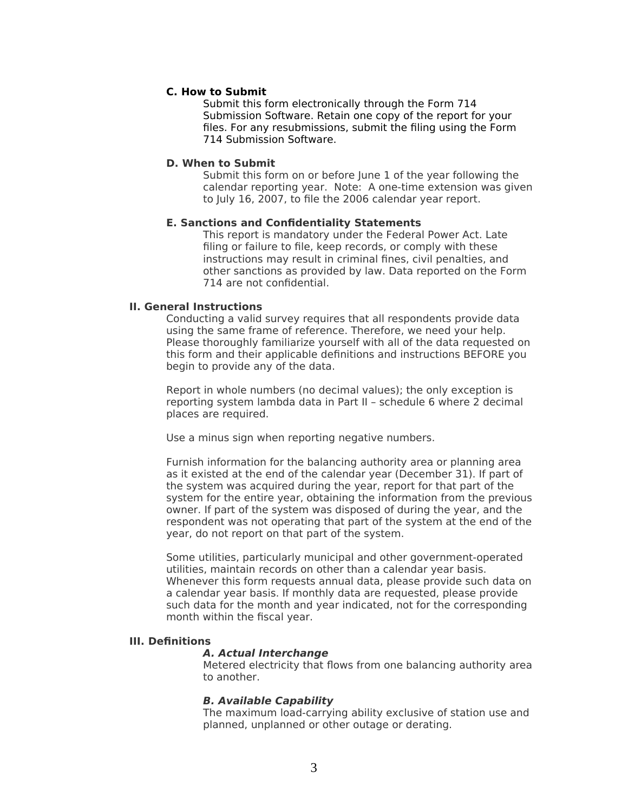### <span id="page-2-4"></span>**C. How to Submit**

Submit this form electronically through the Form 714 Submission Software. Retain one copy of the report for your files. For any resubmissions, submit the filing using the Form 714 Submission Software.

### <span id="page-2-3"></span>**D. When to Submit**

Submit this form on or before June 1 of the year following the calendar reporting year. Note: A one-time extension was given to July 16, 2007, to file the 2006 calendar year report.

### <span id="page-2-2"></span>**E. Sanctions and Confidentiality Statements**

This report is mandatory under the Federal Power Act. Late filing or failure to file, keep records, or comply with these instructions may result in criminal fines, civil penalties, and other sanctions as provided by law. Data reported on the Form 714 are not confidential.

### <span id="page-2-1"></span>**II. General Instructions**

Conducting a valid survey requires that all respondents provide data using the same frame of reference. Therefore, we need your help. Please thoroughly familiarize yourself with all of the data requested on this form and their applicable definitions and instructions BEFORE you begin to provide any of the data.

Report in whole numbers (no decimal values); the only exception is reporting system lambda data in Part II – schedule 6 where 2 decimal places are required.

Use a minus sign when reporting negative numbers.

Furnish information for the balancing authority area or planning area as it existed at the end of the calendar year (December 31). If part of the system was acquired during the year, report for that part of the system for the entire year, obtaining the information from the previous owner. If part of the system was disposed of during the year, and the respondent was not operating that part of the system at the end of the year, do not report on that part of the system.

Some utilities, particularly municipal and other government-operated utilities, maintain records on other than a calendar year basis. Whenever this form requests annual data, please provide such data on a calendar year basis. If monthly data are requested, please provide such data for the month and year indicated, not for the corresponding month within the fiscal year.

### <span id="page-2-0"></span>**III. Definitions**

### **A. Actual Interchange**

Metered electricity that flows from one balancing authority area to another.

### **B. Available Capability**

The maximum load-carrying ability exclusive of station use and planned, unplanned or other outage or derating.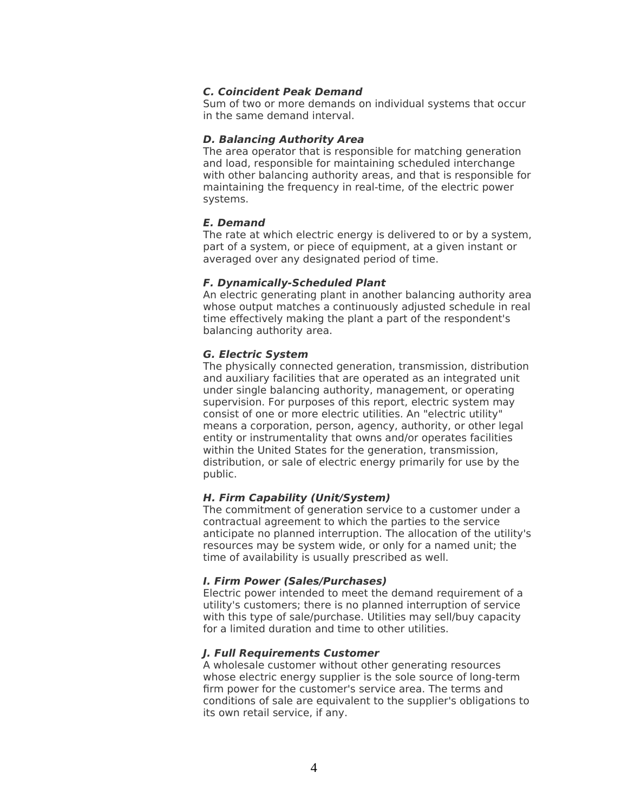### **C. Coincident Peak Demand**

Sum of two or more demands on individual systems that occur in the same demand interval.

### **D. Balancing Authority Area**

The area operator that is responsible for matching generation and load, responsible for maintaining scheduled interchange with other balancing authority areas, and that is responsible for maintaining the frequency in real-time, of the electric power systems.

### **E. Demand**

The rate at which electric energy is delivered to or by a system, part of a system, or piece of equipment, at a given instant or averaged over any designated period of time.

### **F. Dynamically-Scheduled Plant**

An electric generating plant in another balancing authority area whose output matches a continuously adjusted schedule in real time effectively making the plant a part of the respondent's balancing authority area.

### **G. Electric System**

The physically connected generation, transmission, distribution and auxiliary facilities that are operated as an integrated unit under single balancing authority, management, or operating supervision. For purposes of this report, electric system may consist of one or more electric utilities. An "electric utility" means a corporation, person, agency, authority, or other legal entity or instrumentality that owns and/or operates facilities within the United States for the generation, transmission, distribution, or sale of electric energy primarily for use by the public.

### **H. Firm Capability (Unit/System)**

The commitment of generation service to a customer under a contractual agreement to which the parties to the service anticipate no planned interruption. The allocation of the utility's resources may be system wide, or only for a named unit; the time of availability is usually prescribed as well.

### **I. Firm Power (Sales/Purchases)**

Electric power intended to meet the demand requirement of a utility's customers; there is no planned interruption of service with this type of sale/purchase. Utilities may sell/buy capacity for a limited duration and time to other utilities.

### **J. Full Requirements Customer**

A wholesale customer without other generating resources whose electric energy supplier is the sole source of long-term firm power for the customer's service area. The terms and conditions of sale are equivalent to the supplier's obligations to its own retail service, if any.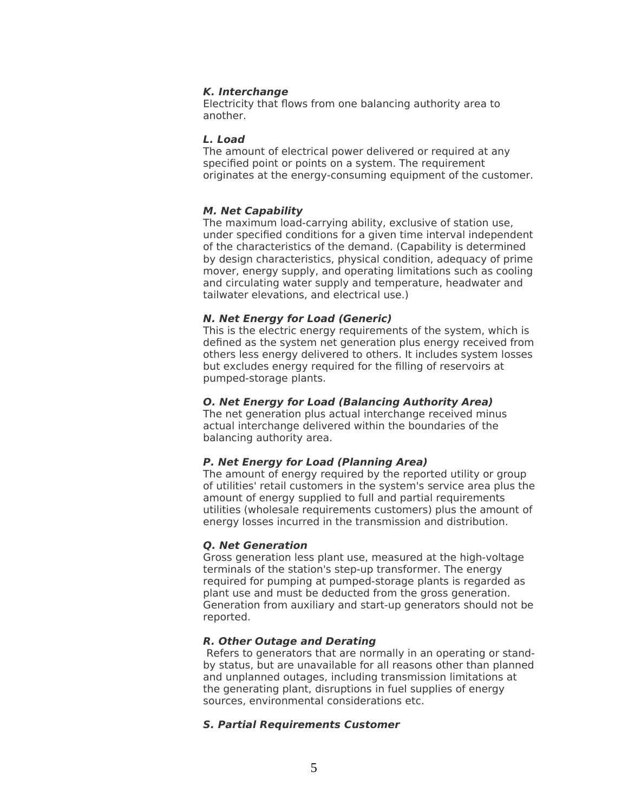#### **K. Interchange**

Electricity that flows from one balancing authority area to another.

#### **L. Load**

The amount of electrical power delivered or required at any specified point or points on a system. The requirement originates at the energy-consuming equipment of the customer.

### **M. Net Capability**

The maximum load-carrying ability, exclusive of station use, under specified conditions for a given time interval independent of the characteristics of the demand. (Capability is determined by design characteristics, physical condition, adequacy of prime mover, energy supply, and operating limitations such as cooling and circulating water supply and temperature, headwater and tailwater elevations, and electrical use.)

### **N. Net Energy for Load (Generic)**

This is the electric energy requirements of the system, which is defined as the system net generation plus energy received from others less energy delivered to others. It includes system losses but excludes energy required for the filling of reservoirs at pumped-storage plants.

## **O. Net Energy for Load (Balancing Authority Area)**

The net generation plus actual interchange received minus actual interchange delivered within the boundaries of the balancing authority area.

### **P. Net Energy for Load (Planning Area)**

The amount of energy required by the reported utility or group of utilities' retail customers in the system's service area plus the amount of energy supplied to full and partial requirements utilities (wholesale requirements customers) plus the amount of energy losses incurred in the transmission and distribution.

### **Q. Net Generation**

Gross generation less plant use, measured at the high-voltage terminals of the station's step-up transformer. The energy required for pumping at pumped-storage plants is regarded as plant use and must be deducted from the gross generation. Generation from auxiliary and start-up generators should not be reported.

### **R. Other Outage and Derating**

Refers to generators that are normally in an operating or standby status, but are unavailable for all reasons other than planned and unplanned outages, including transmission limitations at the generating plant, disruptions in fuel supplies of energy sources, environmental considerations etc.

### **S. Partial Requirements Customer**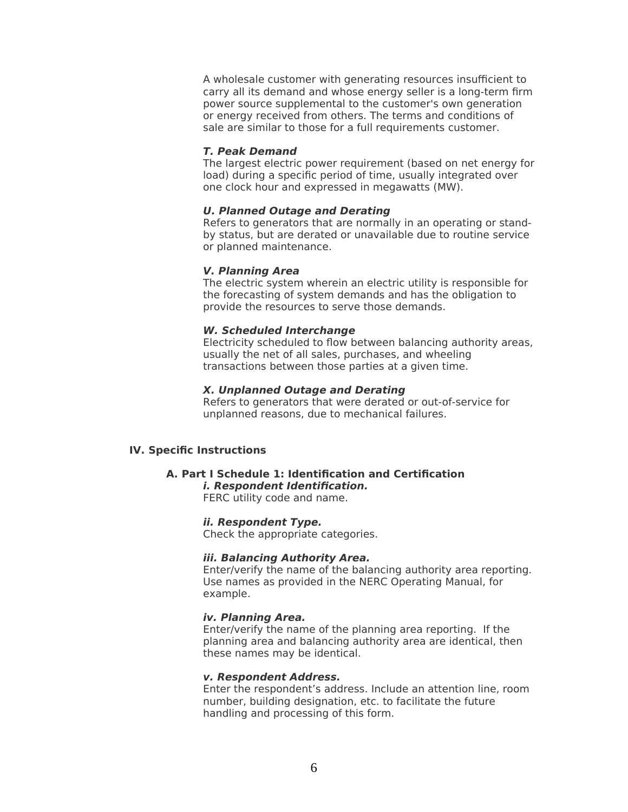A wholesale customer with generating resources insufficient to carry all its demand and whose energy seller is a long-term firm power source supplemental to the customer's own generation or energy received from others. The terms and conditions of sale are similar to those for a full requirements customer.

#### **T. Peak Demand**

The largest electric power requirement (based on net energy for load) during a specific period of time, usually integrated over one clock hour and expressed in megawatts (MW).

#### **U. Planned Outage and Derating**

Refers to generators that are normally in an operating or standby status, but are derated or unavailable due to routine service or planned maintenance.

#### **V. Planning Area**

The electric system wherein an electric utility is responsible for the forecasting of system demands and has the obligation to provide the resources to serve those demands.

#### **W. Scheduled Interchange**

Electricity scheduled to flow between balancing authority areas, usually the net of all sales, purchases, and wheeling transactions between those parties at a given time.

### **X. Unplanned Outage and Derating**

Refers to generators that were derated or out-of-service for unplanned reasons, due to mechanical failures.

### <span id="page-5-1"></span>**IV. Specific Instructions**

# <span id="page-5-0"></span>**A. Part I Schedule 1: Identification and Certification**

**i. Respondent Identification.** FERC utility code and name.

### **ii. Respondent Type.**

Check the appropriate categories.

### **iii. Balancing Authority Area.**

Enter/verify the name of the balancing authority area reporting. Use names as provided in the NERC Operating Manual, for example.

#### **iv. Planning Area.**

Enter/verify the name of the planning area reporting. If the planning area and balancing authority area are identical, then these names may be identical.

### **v. Respondent Address.**

Enter the respondent's address. Include an attention line, room number, building designation, etc. to facilitate the future handling and processing of this form.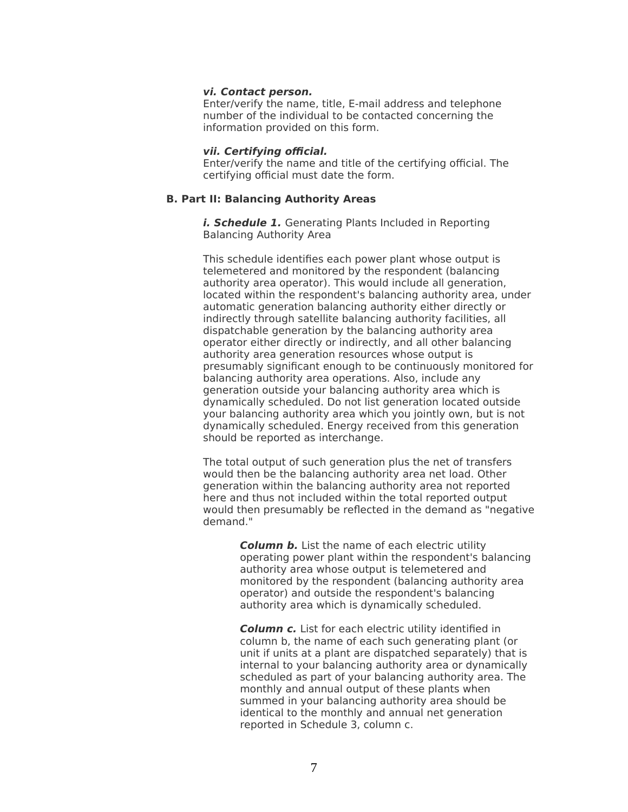#### **vi. Contact person.**

Enter/verify the name, title, E-mail address and telephone number of the individual to be contacted concerning the information provided on this form.

#### **vii. Certifying official.**

Enter/verify the name and title of the certifying official. The certifying official must date the form.

### <span id="page-6-1"></span>**B. Part II: Balancing Authority Areas**

<span id="page-6-0"></span>*i. Schedule 1.* Generating Plants Included in Reporting Balancing Authority Area

This schedule identifies each power plant whose output is telemetered and monitored by the respondent (balancing authority area operator). This would include all generation, located within the respondent's balancing authority area, under automatic generation balancing authority either directly or indirectly through satellite balancing authority facilities, all dispatchable generation by the balancing authority area operator either directly or indirectly, and all other balancing authority area generation resources whose output is presumably significant enough to be continuously monitored for balancing authority area operations. Also, include any generation outside your balancing authority area which is dynamically scheduled. Do not list generation located outside your balancing authority area which you jointly own, but is not dynamically scheduled. Energy received from this generation should be reported as interchange.

The total output of such generation plus the net of transfers would then be the balancing authority area net load. Other generation within the balancing authority area not reported here and thus not included within the total reported output would then presumably be reflected in the demand as "negative demand."

> **Column b.** List the name of each electric utility operating power plant within the respondent's balancing authority area whose output is telemetered and monitored by the respondent (balancing authority area operator) and outside the respondent's balancing authority area which is dynamically scheduled.

**Column c.** List for each electric utility identified in column b, the name of each such generating plant (or unit if units at a plant are dispatched separately) that is internal to your balancing authority area or dynamically scheduled as part of your balancing authority area. The monthly and annual output of these plants when summed in your balancing authority area should be identical to the monthly and annual net generation reported in Schedule 3, column c.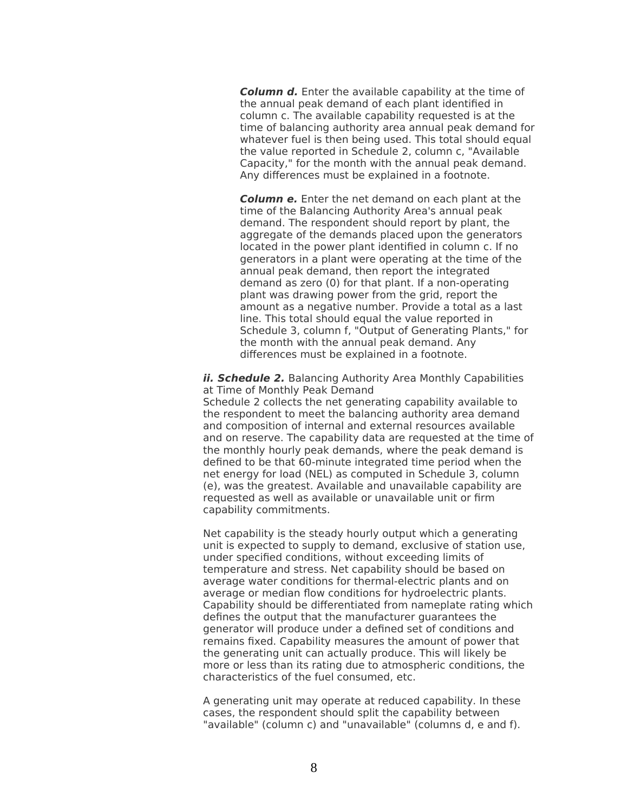**Column d.** Enter the available capability at the time of the annual peak demand of each plant identified in column c. The available capability requested is at the time of balancing authority area annual peak demand for whatever fuel is then being used. This total should equal the value reported in Schedule 2, column c, "Available Capacity," for the month with the annual peak demand. Any differences must be explained in a footnote.

**Column e.** Enter the net demand on each plant at the time of the Balancing Authority Area's annual peak demand. The respondent should report by plant, the aggregate of the demands placed upon the generators located in the power plant identified in column c. If no generators in a plant were operating at the time of the annual peak demand, then report the integrated demand as zero (0) for that plant. If a non-operating plant was drawing power from the grid, report the amount as a negative number. Provide a total as a last line. This total should equal the value reported in Schedule 3, column f, "Output of Generating Plants," for the month with the annual peak demand. Any differences must be explained in a footnote.

<span id="page-7-0"></span>**ii. Schedule 2.** Balancing Authority Area Monthly Capabilities at Time of Monthly Peak Demand

Schedule 2 collects the net generating capability available to the respondent to meet the balancing authority area demand and composition of internal and external resources available and on reserve. The capability data are requested at the time of the monthly hourly peak demands, where the peak demand is defined to be that 60-minute integrated time period when the net energy for load (NEL) as computed in Schedule 3, column (e), was the greatest. Available and unavailable capability are requested as well as available or unavailable unit or firm capability commitments.

Net capability is the steady hourly output which a generating unit is expected to supply to demand, exclusive of station use, under specified conditions, without exceeding limits of temperature and stress. Net capability should be based on average water conditions for thermal-electric plants and on average or median flow conditions for hydroelectric plants. Capability should be differentiated from nameplate rating which defines the output that the manufacturer guarantees the generator will produce under a defined set of conditions and remains fixed. Capability measures the amount of power that the generating unit can actually produce. This will likely be more or less than its rating due to atmospheric conditions, the characteristics of the fuel consumed, etc.

A generating unit may operate at reduced capability. In these cases, the respondent should split the capability between "available" (column c) and "unavailable" (columns d, e and f).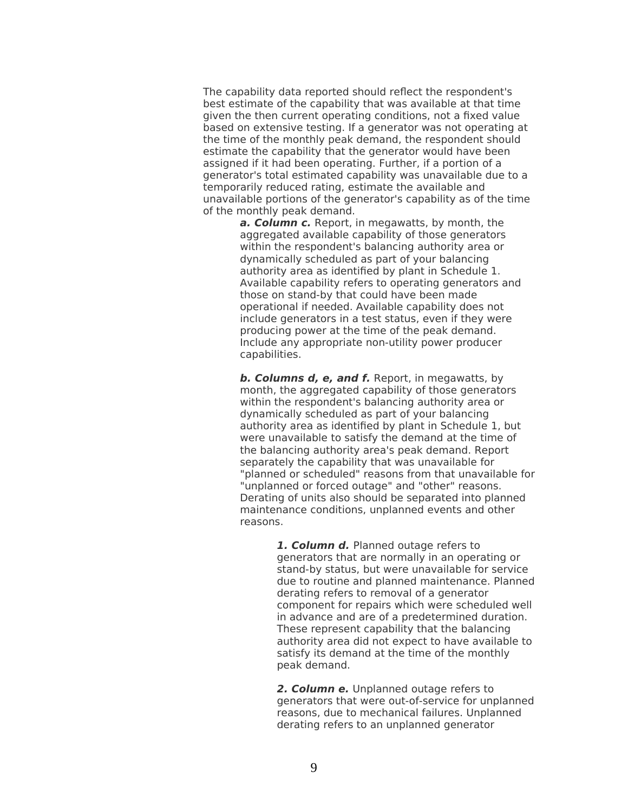The capability data reported should reflect the respondent's best estimate of the capability that was available at that time given the then current operating conditions, not a fixed value based on extensive testing. If a generator was not operating at the time of the monthly peak demand, the respondent should estimate the capability that the generator would have been assigned if it had been operating. Further, if a portion of a generator's total estimated capability was unavailable due to a temporarily reduced rating, estimate the available and unavailable portions of the generator's capability as of the time of the monthly peak demand.

> **a. Column c.** Report, in megawatts, by month, the aggregated available capability of those generators within the respondent's balancing authority area or dynamically scheduled as part of your balancing authority area as identified by plant in Schedule 1. Available capability refers to operating generators and those on stand-by that could have been made operational if needed. Available capability does not include generators in a test status, even if they were producing power at the time of the peak demand. Include any appropriate non-utility power producer capabilities.

**b. Columns d, e, and f.** Report, in megawatts, by month, the aggregated capability of those generators within the respondent's balancing authority area or dynamically scheduled as part of your balancing authority area as identified by plant in Schedule 1, but were unavailable to satisfy the demand at the time of the balancing authority area's peak demand. Report separately the capability that was unavailable for "planned or scheduled" reasons from that unavailable for "unplanned or forced outage" and "other" reasons. Derating of units also should be separated into planned maintenance conditions, unplanned events and other reasons.

> **1. Column d.** Planned outage refers to generators that are normally in an operating or stand-by status, but were unavailable for service due to routine and planned maintenance. Planned derating refers to removal of a generator component for repairs which were scheduled well in advance and are of a predetermined duration. These represent capability that the balancing authority area did not expect to have available to satisfy its demand at the time of the monthly peak demand.

> **2. Column e.** Unplanned outage refers to generators that were out-of-service for unplanned reasons, due to mechanical failures. Unplanned derating refers to an unplanned generator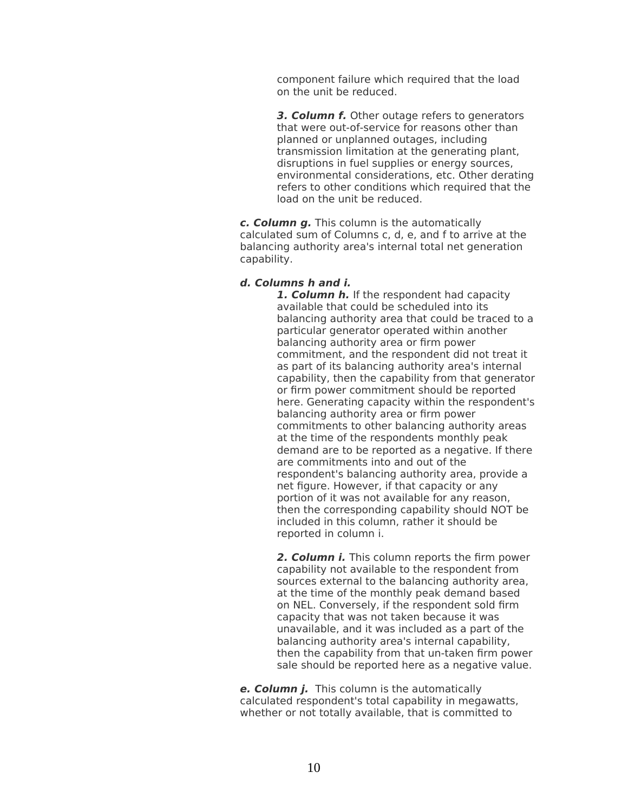component failure which required that the load on the unit be reduced.

**3. Column f.** Other outage refers to generators that were out-of-service for reasons other than planned or unplanned outages, including transmission limitation at the generating plant, disruptions in fuel supplies or energy sources, environmental considerations, etc. Other derating refers to other conditions which required that the load on the unit be reduced.

**c. Column g.** This column is the automatically calculated sum of Columns c, d, e, and f to arrive at the balancing authority area's internal total net generation capability.

### **d. Columns h and i.**

**1. Column h.** If the respondent had capacity available that could be scheduled into its balancing authority area that could be traced to a particular generator operated within another balancing authority area or firm power commitment, and the respondent did not treat it as part of its balancing authority area's internal capability, then the capability from that generator or firm power commitment should be reported here. Generating capacity within the respondent's balancing authority area or firm power commitments to other balancing authority areas at the time of the respondents monthly peak demand are to be reported as a negative. If there are commitments into and out of the respondent's balancing authority area, provide a net figure. However, if that capacity or any portion of it was not available for any reason, then the corresponding capability should NOT be included in this column, rather it should be reported in column i.

**2. Column i.** This column reports the firm power capability not available to the respondent from sources external to the balancing authority area, at the time of the monthly peak demand based on NEL. Conversely, if the respondent sold firm capacity that was not taken because it was unavailable, and it was included as a part of the balancing authority area's internal capability, then the capability from that un-taken firm power sale should be reported here as a negative value.

**e. Column j.** This column is the automatically calculated respondent's total capability in megawatts, whether or not totally available, that is committed to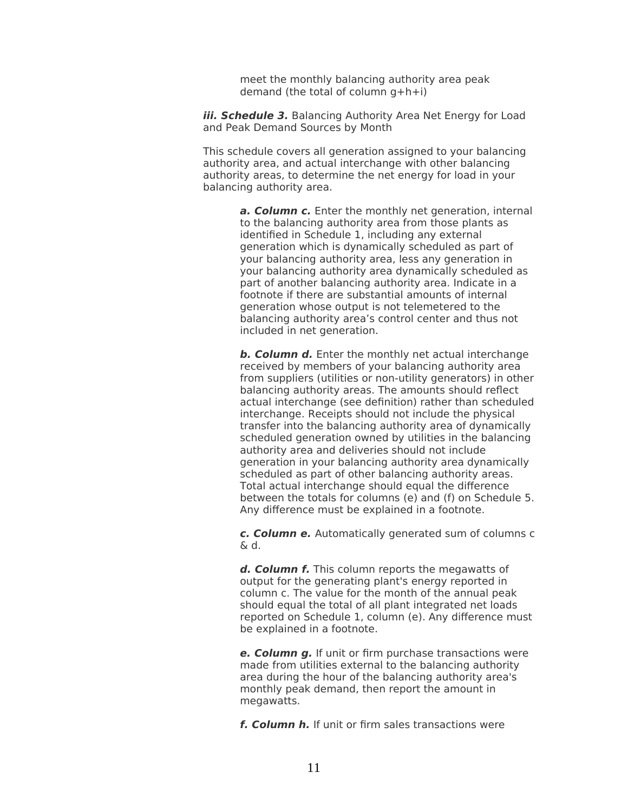meet the monthly balancing authority area peak demand (the total of column  $q + h + i$ )

<span id="page-10-0"></span>**iii. Schedule 3.** Balancing Authority Area Net Energy for Load and Peak Demand Sources by Month

This schedule covers all generation assigned to your balancing authority area, and actual interchange with other balancing authority areas, to determine the net energy for load in your balancing authority area.

> **a. Column c.** Enter the monthly net generation, internal to the balancing authority area from those plants as identified in Schedule 1, including any external generation which is dynamically scheduled as part of your balancing authority area, less any generation in your balancing authority area dynamically scheduled as part of another balancing authority area. Indicate in a footnote if there are substantial amounts of internal generation whose output is not telemetered to the balancing authority area's control center and thus not included in net generation.

> **b. Column d.** Enter the monthly net actual interchange received by members of your balancing authority area from suppliers (utilities or non-utility generators) in other balancing authority areas. The amounts should reflect actual interchange (see definition) rather than scheduled interchange. Receipts should not include the physical transfer into the balancing authority area of dynamically scheduled generation owned by utilities in the balancing authority area and deliveries should not include generation in your balancing authority area dynamically scheduled as part of other balancing authority areas. Total actual interchange should equal the difference between the totals for columns (e) and (f) on Schedule 5. Any difference must be explained in a footnote.

> **c. Column e.** Automatically generated sum of columns c  $\&$  d.

> **d. Column f.** This column reports the megawatts of output for the generating plant's energy reported in column c. The value for the month of the annual peak should equal the total of all plant integrated net loads reported on Schedule 1, column (e). Any difference must be explained in a footnote.

**e. Column g.** If unit or firm purchase transactions were made from utilities external to the balancing authority area during the hour of the balancing authority area's monthly peak demand, then report the amount in megawatts.

**f. Column h.** If unit or firm sales transactions were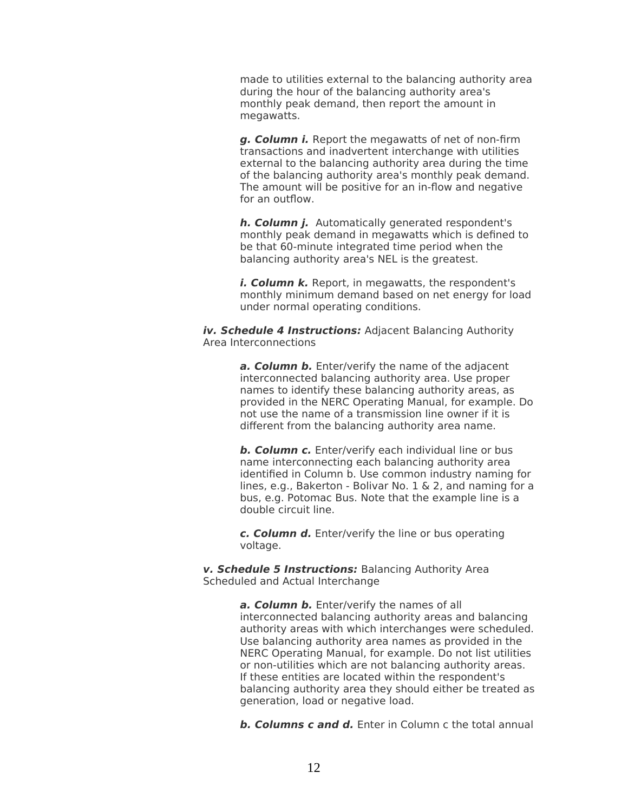made to utilities external to the balancing authority area during the hour of the balancing authority area's monthly peak demand, then report the amount in megawatts.

**g. Column i.** Report the megawatts of net of non-firm transactions and inadvertent interchange with utilities external to the balancing authority area during the time of the balancing authority area's monthly peak demand. The amount will be positive for an in-flow and negative for an outflow.

**h. Column j.** Automatically generated respondent's monthly peak demand in megawatts which is defined to be that 60-minute integrated time period when the balancing authority area's NEL is the greatest.

i. **Column k.** Report, in megawatts, the respondent's monthly minimum demand based on net energy for load under normal operating conditions.

<span id="page-11-0"></span>**iv. Schedule 4 Instructions:** Adjacent Balancing Authority Area Interconnections

> a. **Column b.** Enter/verify the name of the adjacent interconnected balancing authority area. Use proper names to identify these balancing authority areas, as provided in the NERC Operating Manual, for example. Do not use the name of a transmission line owner if it is different from the balancing authority area name.

> **b. Column c.** Enter/verify each individual line or bus name interconnecting each balancing authority area identified in Column b. Use common industry naming for lines, e.g., Bakerton - Bolivar No. 1 & 2, and naming for a bus, e.g. Potomac Bus. Note that the example line is a double circuit line.

**c. Column d.** Enter/verify the line or bus operating voltage.

<span id="page-11-1"></span>**v. Schedule 5 Instructions:** Balancing Authority Area Scheduled and Actual Interchange

> **a. Column b.** Enter/verify the names of all interconnected balancing authority areas and balancing authority areas with which interchanges were scheduled. Use balancing authority area names as provided in the NERC Operating Manual, for example. Do not list utilities or non-utilities which are not balancing authority areas. If these entities are located within the respondent's balancing authority area they should either be treated as generation, load or negative load.

> **b. Columns c and d.** Enter in Column c the total annual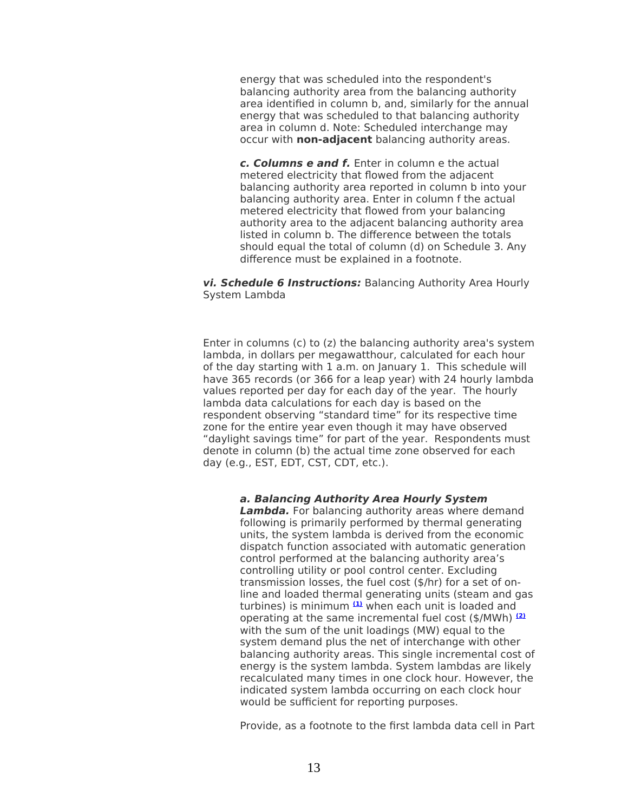energy that was scheduled into the respondent's balancing authority area from the balancing authority area identified in column b, and, similarly for the annual energy that was scheduled to that balancing authority area in column d. Note: Scheduled interchange may occur with **non-adjacent** balancing authority areas.

**c. Columns e and f.** Enter in column e the actual metered electricity that flowed from the adjacent balancing authority area reported in column b into your balancing authority area. Enter in column f the actual metered electricity that flowed from your balancing authority area to the adjacent balancing authority area listed in column b. The difference between the totals should equal the total of column (d) on Schedule 3. Any difference must be explained in a footnote.

#### <span id="page-12-0"></span>**vi. Schedule 6 Instructions:** Balancing Authority Area Hourly System Lambda

Enter in columns (c) to (z) the balancing authority area's system lambda, in dollars per megawatthour, calculated for each hour of the day starting with 1 a.m. on January 1. This schedule will have 365 records (or 366 for a leap year) with 24 hourly lambda values reported per day for each day of the year. The hourly lambda data calculations for each day is based on the respondent observing "standard time" for its respective time zone for the entire year even though it may have observed "daylight savings time" for part of the year. Respondents must denote in column (b) the actual time zone observed for each day (e.g., EST, EDT, CST, CDT, etc.).

### **a. Balancing Authority Area Hourly System**

**Lambda.** For balancing authority areas where demand following is primarily performed by thermal generating units, the system lambda is derived from the economic dispatch function associated with automatic generation control performed at the balancing authority area's controlling utility or pool control center. Excluding transmission losses, the fuel cost (\$/hr) for a set of online and loaded thermal generating units (steam and gas turbines) is minimum **[\(1\)](http://www.ferc.gov/docs-filing/eforms/form-714/instructions.asp#N_1_%23N_1_)** when each unit is loaded and operating at the same incremental fuel cost (\$/MWh) **[\(2\)](http://www.ferc.gov/docs-filing/eforms/form-714/instructions.asp#N_2_%23N_2_)** with the sum of the unit loadings (MW) equal to the system demand plus the net of interchange with other balancing authority areas. This single incremental cost of energy is the system lambda. System lambdas are likely recalculated many times in one clock hour. However, the indicated system lambda occurring on each clock hour would be sufficient for reporting purposes.

Provide, as a footnote to the first lambda data cell in Part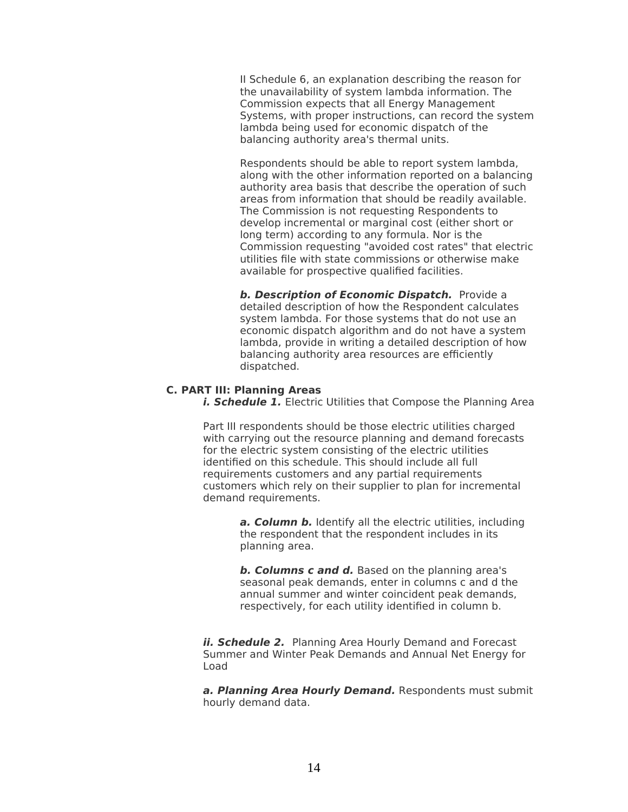II Schedule 6, an explanation describing the reason for the unavailability of system lambda information. The Commission expects that all Energy Management Systems, with proper instructions, can record the system lambda being used for economic dispatch of the balancing authority area's thermal units.

Respondents should be able to report system lambda, along with the other information reported on a balancing authority area basis that describe the operation of such areas from information that should be readily available. The Commission is not requesting Respondents to develop incremental or marginal cost (either short or long term) according to any formula. Nor is the Commission requesting "avoided cost rates" that electric utilities file with state commissions or otherwise make available for prospective qualified facilities.

**b. Description of Economic Dispatch.** Provide a detailed description of how the Respondent calculates system lambda. For those systems that do not use an economic dispatch algorithm and do not have a system lambda, provide in writing a detailed description of how balancing authority area resources are efficiently dispatched.

# <span id="page-13-2"></span>**C. PART III: Planning Areas**

<span id="page-13-1"></span>*i. Schedule 1.* Electric Utilities that Compose the Planning Area

Part III respondents should be those electric utilities charged with carrying out the resource planning and demand forecasts for the electric system consisting of the electric utilities identified on this schedule. This should include all full requirements customers and any partial requirements customers which rely on their supplier to plan for incremental demand requirements.

> **a. Column b.** Identify all the electric utilities, including the respondent that the respondent includes in its planning area.

**b. Columns c and d.** Based on the planning area's seasonal peak demands, enter in columns c and d the annual summer and winter coincident peak demands, respectively, for each utility identified in column b.

<span id="page-13-0"></span>**ii. Schedule 2.** Planning Area Hourly Demand and Forecast Summer and Winter Peak Demands and Annual Net Energy for Load

**a. Planning Area Hourly Demand.** Respondents must submit hourly demand data.